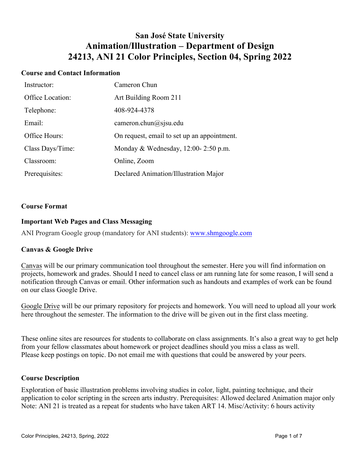# **San José State University Animation/Illustration – Department of Design 24213, ANI 21 Color Principles, Section 04, Spring 2022**

### **Course and Contact Information**

| Instructor:      | Cameron Chun                                |
|------------------|---------------------------------------------|
| Office Location: | Art Building Room 211                       |
| Telephone:       | 408-924-4378                                |
| Email:           | cameron.chun@sjsu.edu                       |
| Office Hours:    | On request, email to set up an appointment. |
| Class Days/Time: | Monday & Wednesday, $12:00-2:50$ p.m.       |
| Classroom:       | Online, Zoom                                |
| Prerequisites:   | Declared Animation/Illustration Major       |

#### **Course Format**

# **Important Web Pages and Class Messaging**

ANI Program Google group (mandatory for ANI students): www.shmgoogle.com

# **Canvas & Google Drive**

Canvas will be our primary communication tool throughout the semester. Here you will find information on projects, homework and grades. Should I need to cancel class or am running late for some reason, I will send a notification through Canvas or email. Other information such as handouts and examples of work can be found on our class Google Drive.

Google Drive will be our primary repository for projects and homework. You will need to upload all your work here throughout the semester. The information to the drive will be given out in the first class meeting.

These online sites are resources for students to collaborate on class assignments. It's also a great way to get help from your fellow classmates about homework or project deadlines should you miss a class as well. Please keep postings on topic. Do not email me with questions that could be answered by your peers.

#### **Course Description**

Exploration of basic illustration problems involving studies in color, light, painting technique, and their application to color scripting in the screen arts industry. Prerequisites: Allowed declared Animation major only Note: ANI 21 is treated as a repeat for students who have taken ART 14. Misc/Activity: 6 hours activity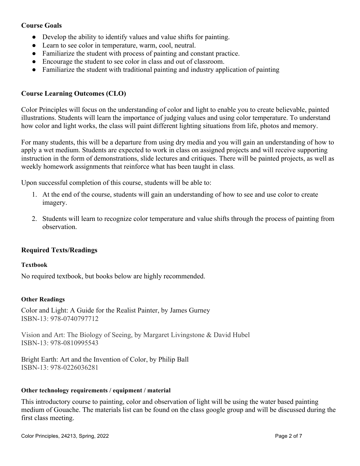# **Course Goals**

- Develop the ability to identify values and value shifts for painting.
- Learn to see color in temperature, warm, cool, neutral.
- Familiarize the student with process of painting and constant practice.
- Encourage the student to see color in class and out of classroom.
- Familiarize the student with traditional painting and industry application of painting

# **Course Learning Outcomes (CLO)**

Color Principles will focus on the understanding of color and light to enable you to create believable, painted illustrations. Students will learn the importance of judging values and using color temperature. To understand how color and light works, the class will paint different lighting situations from life, photos and memory.

For many students, this will be a departure from using dry media and you will gain an understanding of how to apply a wet medium. Students are expected to work in class on assigned projects and will receive supporting instruction in the form of demonstrations, slide lectures and critiques. There will be painted projects, as well as weekly homework assignments that reinforce what has been taught in class.

Upon successful completion of this course, students will be able to:

- 1. At the end of the course, students will gain an understanding of how to see and use color to create imagery.
- 2. Students will learn to recognize color temperature and value shifts through the process of painting from observation.

# **Required Texts/Readings**

#### **Textbook**

No required textbook, but books below are highly recommended.

#### **Other Readings**

Color and Light: A Guide for the Realist Painter, by James Gurney ISBN-13: 978-0740797712

Vision and Art: The Biology of Seeing, by Margaret Livingstone & David Hubel ISBN-13: 978-0810995543

Bright Earth: Art and the Invention of Color, by Philip Ball ISBN-13: 978-0226036281

#### **Other technology requirements / equipment / material**

This introductory course to painting, color and observation of light will be using the water based painting medium of Gouache. The materials list can be found on the class google group and will be discussed during the first class meeting.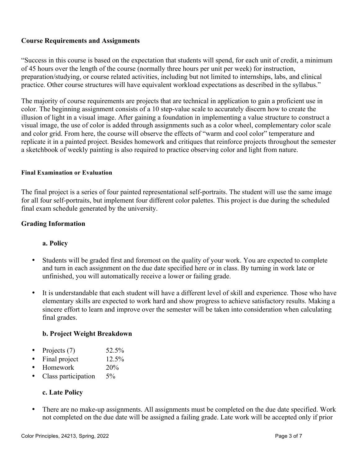# **Course Requirements and Assignments**

"Success in this course is based on the expectation that students will spend, for each unit of credit, a minimum of 45 hours over the length of the course (normally three hours per unit per week) for instruction, preparation/studying, or course related activities, including but not limited to internships, labs, and clinical practice. Other course structures will have equivalent workload expectations as described in the syllabus."

The majority of course requirements are projects that are technical in application to gain a proficient use in color. The beginning assignment consists of a 10 step-value scale to accurately discern how to create the illusion of light in a visual image. After gaining a foundation in implementing a value structure to construct a visual image, the use of color is added through assignments such as a color wheel, complementary color scale and color grid. From here, the course will observe the effects of "warm and cool color" temperature and replicate it in a painted project. Besides homework and critiques that reinforce projects throughout the semester a sketchbook of weekly painting is also required to practice observing color and light from nature.

#### **Final Examination or Evaluation**

The final project is a series of four painted representational self-portraits. The student will use the same image for all four self-portraits, but implement four different color palettes. This project is due during the scheduled final exam schedule generated by the university.

# **Grading Information**

# **a. Policy**

- Students will be graded first and foremost on the quality of your work. You are expected to complete and turn in each assignment on the due date specified here or in class. By turning in work late or unfinished, you will automatically receive a lower or failing grade.
- It is understandable that each student will have a different level of skill and experience. Those who have elementary skills are expected to work hard and show progress to achieve satisfactory results. Making a sincere effort to learn and improve over the semester will be taken into consideration when calculating final grades.

# **b. Project Weight Breakdown**

- Projects  $(7)$  52.5%
- Final project 12.5%
- Homework 20%
- Class participation 5%

# **c. Late Policy**

• There are no make-up assignments. All assignments must be completed on the due date specified. Work not completed on the due date will be assigned a failing grade. Late work will be accepted only if prior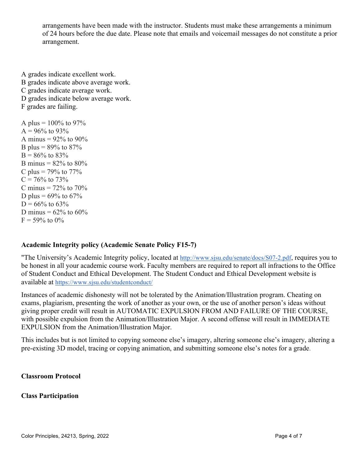arrangements have been made with the instructor. Students must make these arrangements a minimum of 24 hours before the due date. Please note that emails and voicemail messages do not constitute a prior arrangement.

A grades indicate excellent work. B grades indicate above average work. C grades indicate average work. D grades indicate below average work. F grades are failing. A plus =  $100\%$  to 97%  $A = 96\%$  to 93% A minus =  $92\%$  to  $90\%$ B plus =  $89\%$  to  $87\%$ 

 $B = 86\%$  to 83% B minus =  $82\%$  to  $80\%$ C plus =  $79\%$  to  $77\%$  $C = 76\%$  to 73% C minus  $= 72\%$  to  $70\%$ D plus =  $69\%$  to  $67\%$  $D = 66\%$  to 63% D minus =  $62\%$  to  $60\%$  $F = 59\%$  to 0%

# **Academic Integrity policy (Academic Senate Policy F15-7)**

"The University's Academic Integrity policy, located at http://www.sjsu.edu/senate/docs/S07-2.pdf, requires you to be honest in all your academic course work. Faculty members are required to report all infractions to the Office of Student Conduct and Ethical Development. The Student Conduct and Ethical Development website is available at https://www.sjsu.edu/studentconduct/

Instances of academic dishonesty will not be tolerated by the Animation/Illustration program. Cheating on exams, plagiarism, presenting the work of another as your own, or the use of another person's ideas without giving proper credit will result in AUTOMATIC EXPULSION FROM AND FAILURE OF THE COURSE, with possible expulsion from the Animation/Illustration Major. A second offense will result in IMMEDIATE EXPULSION from the Animation/Illustration Major.

This includes but is not limited to copying someone else's imagery, altering someone else's imagery, altering a pre-existing 3D model, tracing or copying animation, and submitting someone else's notes for a grade.

**Classroom Protocol**

# **Class Participation**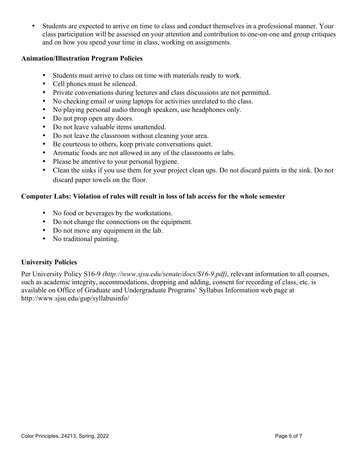• Students are expected to arrive on time to class and conduct themselves in a professional manner. Your class participation will be assessed on your attention and contribution to one-on-one and group critiques and on how you spend your time in class, working on assignments.

# **Animation/Illustration Program Policies**

- Students must arrive to class on time with materials ready to work.
- Cell phones must be silenced.
- Private conversations during lectures and class discussions are not permitted.
- No checking email or using laptops for activities unrelated to the class.
- No playing personal audio through speakers, use headphones only.
- Do not prop open any doors.
- Do not leave valuable items unattended.
- Do not leave the classroom without cleaning your area.
- Be courteous to others, keep private conversations quiet.
- Aromatic foods are not allowed in any of the classrooms or labs.
- Please be attentive to your personal hygiene.
- Clean the sinks if you use them for your project clean ups. Do not discard paints in the sink. Do not discard paper towels on the floor.

# **Computer Labs: Violation of rules will result in loss of lab access for the whole semester**

- No food or beverages by the workstations.
- Do not change the connections on the equipment.
- Do not move any equipment in the lab.
- No traditional painting.

# **University Policies**

Per University Policy S16-9 *(http://www.sjsu.edu/senate/docs/S16-9.pdf)*, relevant information to all courses, such as academic integrity, accommodations, dropping and adding, consent for recording of class, etc. is available on Office of Graduate and Undergraduate Programs' Syllabus Information web page at http://www.sjsu.edu/gup/syllabusinfo/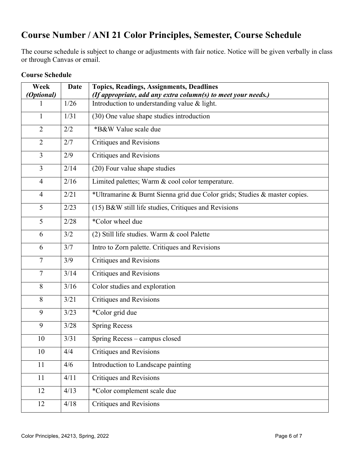# **Course Number / ANI 21 Color Principles, Semester, Course Schedule**

The course schedule is subject to change or adjustments with fair notice. Notice will be given verbally in class or through Canvas or email.

| Week<br>(Optional) | <b>Date</b> | <b>Topics, Readings, Assignments, Deadlines</b><br>(If appropriate, add any extra column(s) to meet your needs.) |
|--------------------|-------------|------------------------------------------------------------------------------------------------------------------|
|                    | 1/26        | Introduction to understanding value & light.                                                                     |
| $\mathbf{1}$       | 1/31        | (30) One value shape studies introduction                                                                        |
| $\overline{2}$     | 2/2         | *B&W Value scale due                                                                                             |
| $\overline{2}$     | 2/7         | Critiques and Revisions                                                                                          |
| $\overline{3}$     | 2/9         | <b>Critiques and Revisions</b>                                                                                   |
| 3                  | 2/14        | (20) Four value shape studies                                                                                    |
| $\overline{4}$     | 2/16        | Limited palettes; Warm & cool color temperature.                                                                 |
| $\overline{4}$     | 2/21        | *Ultramarine & Burnt Sienna grid due Color grids; Studies & master copies.                                       |
| 5                  | 2/23        | (15) B&W still life studies, Critiques and Revisions                                                             |
| 5                  | 2/28        | *Color wheel due                                                                                                 |
| 6                  | 3/2         | (2) Still life studies. Warm & cool Palette                                                                      |
| 6                  | 3/7         | Intro to Zorn palette. Critiques and Revisions                                                                   |
| $\tau$             | 3/9         | Critiques and Revisions                                                                                          |
| $\overline{7}$     | 3/14        | <b>Critiques and Revisions</b>                                                                                   |
| 8                  | 3/16        | Color studies and exploration                                                                                    |
| 8                  | 3/21        | <b>Critiques and Revisions</b>                                                                                   |
| 9                  | 3/23        | *Color grid due                                                                                                  |
| 9                  | 3/28        | <b>Spring Recess</b>                                                                                             |
| 10                 | 3/31        | Spring Recess – campus closed                                                                                    |
| 10                 | 4/4         | Critiques and Revisions                                                                                          |
| 11                 | 4/6         | Introduction to Landscape painting                                                                               |
| 11                 | 4/11        | <b>Critiques and Revisions</b>                                                                                   |
| 12                 | 4/13        | *Color complement scale due                                                                                      |
| 12                 | 4/18        | <b>Critiques and Revisions</b>                                                                                   |

# **Course Schedule**